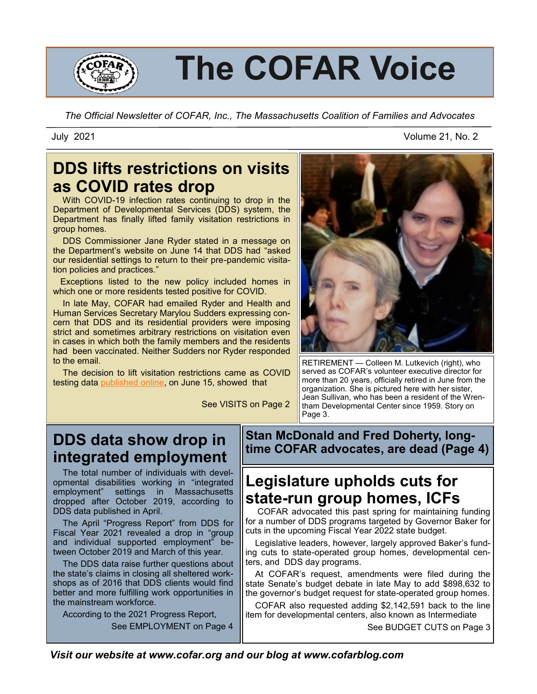

# **The COFAR Voice**

*The Official Newsletter of COFAR, Inc., The Massachusetts Coalition of Families and Advocates*

# **DDS lifts restrictions on visits as COVID rates drop**

 With COVID-19 infection rates continuing to drop in the Department of Developmental Services (DDS) system, the Department has finally lifted family visitation restrictions in group homes.

 DDS Commissioner Jane Ryder stated in a message on the Department's website on June 14 that DDS had "asked our residential settings to return to their pre-pandemic visitation policies and practices."

 Exceptions listed to the new policy included homes in which one or more residents tested positive for COVID.

 In late May, COFAR had emailed Ryder and Health and Human Services Secretary Marylou Sudders expressing concern that DDS and its residential providers were imposing strict and sometimes arbitrary restrictions on visitation even in cases in which both the family members and the residents had been vaccinated. Neither Sudders nor Ryder responded to the email.

 The decision to lift visitation restrictions came as [COVID](https://www.mass.gov/info-details/eohhs-covid-19-reporting)  [testing data](https://www.mass.gov/info-details/eohhs-covid-19-reporting) [published online,](https://www.mass.gov/info-details/eohhs-covid-19-reporting) on June 15, showed that

See VISITS on Page 2



RETIREMENT — Colleen M. Lutkevich (right), who served as COFAR's volunteer executive director for more than 20 years, officially retired in June from the organization. She is pictured here with her sister, Jean Sullivan, who has been a resident of the Wrentham Developmental Center since 1959. Story on Page 3.

# **DDS data show drop in integrated employment**

 The total number of individuals with developmental disabilities working in "integrated employment" settings in Massachusetts dropped after October 2019, according to DDS data published in April.

 The April "Progress Report" from DDS for Fiscal Year 2021 revealed a drop in "group and individual supported employment" between October 2019 and March of this year.

 The DDS data raise further questions about the state's claims in closing all sheltered workshops as of 2016 that DDS clients would find better and more fulfilling work opportunities in the mainstream workforce.

 According to the 2021 Progress Report, See EMPLOYMENT on Page 4 **Stan McDonald and Fred Doherty, longtime COFAR advocates, are dead (Page 4)**

# **Legislature upholds cuts for state-run group homes, ICFs**

 COFAR advocated this past spring for maintaining funding for a number of DDS programs targeted by Governor Baker for cuts in the upcoming Fiscal Year 2022 state budget.

 Legislative leaders, however, largely approved Baker's funding cuts to state-operated group homes, developmental centers, and DDS day programs.

 At COFAR's request, amendments were filed during the state Senate's budget debate in late May to add \$898,632 to the governor's budget request for state-operated group homes.

 COFAR also requested adding \$2,142,591 back to the line item for developmental centers, also known as Intermediate

See BUDGET CUTS on Page 3

*Visit our website at www.cofar.org and our blog at www.cofarblog.com* 

July 2021 Volume 21, No. 2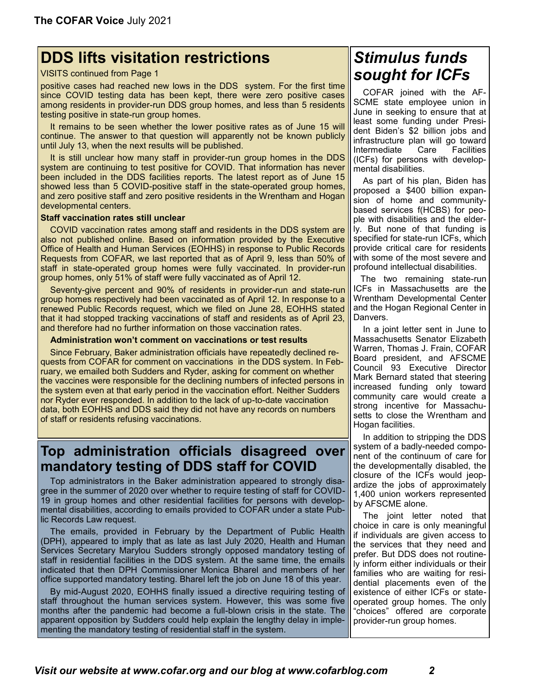# **DDS lifts visitation restrictions**

### VISITS continued from Page 1

positive cases had reached new lows in the DDS system. For the first time since COVID testing data has been kept, there were zero positive cases among residents in provider-run DDS group homes, and less than 5 residents testing positive in state-run group homes.

 It remains to be seen whether the lower positive rates as of June 15 will continue. The answer to that question will apparently not be known publicly until July 13, when the next results will be published.

 It is still unclear how many staff in provider-run group homes in the DDS system are continuing to test positive for COVID. That information has never been included in the DDS facilities reports. The latest report as of June 15 showed less than 5 COVID-positive staff in the state-operated group homes, and zero positive staff and zero positive residents in the Wrentham and Hogan developmental centers.

### **Staff vaccination rates still unclear**

 COVID vaccination rates among staff and residents in the DDS system are also not published online. Based on information provided by the Executive Office of Health and Human Services (EOHHS) in response to Public Records Requests from COFAR, [we last reported](https://cofarblog.com/2021/04/27/staff-resistance-to-covid-vaccine-may-be-keeping-virus-in-dds-system/) that as of April 9, less than 50% of staff in state-operated group homes were fully vaccinated. In provider-run group homes, only 51% of staff were fully vaccinated as of April 12.

 Seventy-give percent and 90% of residents in provider-run and state-run group homes respectively had been vaccinated as of April 12. In response to a renewed Public Records request, which we filed on June 28, EOHHS stated that it had stopped tracking vaccinations of staff and residents as of April 23, and therefore had no further information on those vaccination rates.

#### **Administration won't comment on vaccinations or test results**

 Since February, Baker administration officials have repeatedly declined requests from COFAR for comment on vaccinations in the DDS system. In February, we emailed both Sudders and Ryder, asking for comment on whether the vaccines were responsible for the declining numbers of infected persons in the system even at that early period in the vaccination effort. Neither Sudders nor Ryder ever responded. In addition to the lack of up-to-date vaccination data, both EOHHS and DDS said they did not have any records on numbers of staff or residents refusing vaccinations.

### **Top administration officials disagreed over mandatory testing of DDS staff for COVID**

 Top administrators in the Baker administration appeared to strongly disagree in the summer of 2020 over whether to require testing of staff for COVID-19 in group homes and other residential facilities for persons with developmental disabilities, according to emails provided to COFAR under a state Public Records Law request.

 The emails, provided in February by the Department of Public Health (DPH), appeared to imply that as late as last July 2020, Health and Human Services Secretary Marylou Sudders strongly opposed mandatory testing of staff in residential facilities in the DDS system. At the same time, the emails indicated that then DPH Commissioner Monica Bharel and members of her office supported mandatory testing. Bharel left the job on June 18 of this year.

 By mid-August 2020, EOHHS finally [issued a directive requiring testing of](https://cofarblog.com/2020/08/27/baker-administration-finally-requiring-dds-providers-to-test-all-staff-for-covid-19/)  [staff](https://cofarblog.com/2020/08/27/baker-administration-finally-requiring-dds-providers-to-test-all-staff-for-covid-19/) throughout the human services system. However, this was some five months after the pandemic had become a full-blown crisis in the state. The apparent opposition by Sudders could help explain the lengthy delay in implementing the mandatory testing of residential staff in the system.

# *Stimulus funds sought for ICFs*

 COFAR joined with the AF-SCME state employee union in June in seeking to ensure that at least some funding under President Biden's \$2 billion jobs and infrastructure plan will go toward Intermediate Care Facilities (ICFs) for persons with developmental disabilities.

 As part of his plan, Biden has proposed a \$400 billion expansion of home and communitybased services f(HCBS) for people with disabilities and the elderly. But none of that funding is specified for state-run ICFs, which provide critical care for residents with some of the most severe and profound intellectual disabilities.

 The two remaining state-run ICFs in Massachusetts are the Wrentham Developmental Center and the Hogan Regional Center in Danvers.

 In a joint letter sent in June to Massachusetts Senator Elizabeth Warren, Thomas J. Frain, COFAR Board president, and AFSCME Council 93 Executive Director Mark Bernard stated that steering increased funding only toward community care would create a strong incentive for Massachusetts to close the Wrentham and Hogan facilities.

 In addition to stripping the DDS system of a badly-needed component of the continuum of care for the developmentally disabled, the closure of the ICFs would jeopardize the jobs of approximately 1,400 union workers represented by AFSCME alone.

 The joint letter noted that choice in care is only meaningful if individuals are given access to the services that they need and prefer. But DDS [does not routine](https://cofarblog.com/2017/03/27/data-show-a-decline-in-the-developmentally-disabled-population-in-state-run-residential-care/)[ly inform either individuals or their](https://cofarblog.com/2017/03/27/data-show-a-decline-in-the-developmentally-disabled-population-in-state-run-residential-care/)  [families](https://cofarblog.com/2017/03/27/data-show-a-decline-in-the-developmentally-disabled-population-in-state-run-residential-care/) who are waiting for residential placements even of the existence of either ICFs or stateoperated group homes. The only "choices" offered are corporate provider-run group homes.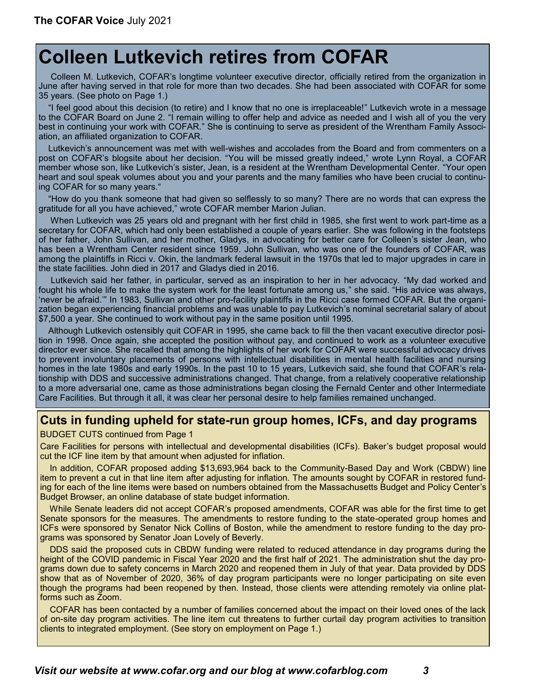# **Colleen Lutkevich retires from COFAR**

Colleen M. Lutkevich, COFAR's longtime volunteer executive director, officially retired from the organization in June after having served in that role for more than two decades. She had been associated with COFAR for some 35 years. (See photo on Page 1.)

 "I feel good about this decision (to retire) and I know that no one is irreplaceable!" Lutkevich wrote in a message to the COFAR Board on June 2. "I remain willing to offer help and advice as needed and I wish all of you the very best in continuing your work with COFAR." She is continuing to serve as president of the Wrentham Family Association, an affiliated organization to COFAR.

 Lutkevich's announcement was met with well-wishes and accolades from the Board and from commenters on a post on COFAR's blogsite about her decision. "You will be missed greatly indeed," wrote Lynn Royal, a COFAR member whose son, like Lutkevich's sister, Jean, is a resident at the Wrentham Developmental Center. "Your open heart and soul speak volumes about you and your parents and the many families who have been crucial to continuing COFAR for so many years."

 "How do you thank someone that had given so selflessly to so many? There are no words that can express the gratitude for all you have achieved," wrote COFAR member Marion Julian.

 When Lutkevich was 25 years old and pregnant with her first child in 1985, she first went to work part-time as a secretary for COFAR, which had only been established a couple of years earlier. She was following in the footsteps of her father, [John Sullivan,](https://cofarblog.com/2017/07/01/john-sullivan-founder-of-cofar-dead-at-97/) and her mother, Gladys, in advocating for better care for Colleen's sister Jean, who has been a Wrentham Center resident since 1959. John Sullivan, who was one of the founders of COFAR, was among the plaintiffs in Ricci v. Okin, the landmark federal lawsuit in the 1970s that led to major upgrades in care in the state facilities. John died in 2017 and Gladys died in 2016.

 Lutkevich said her father, in particular, served as an inspiration to her in her advocacy. "My dad worked and fought his whole life to make the system work for the least fortunate among us," she said. "His advice was always, 'never be afraid.'" In 1983, Sullivan and other pro-facility plaintiffs in the Ricci case formed COFAR. But the organization began experiencing financial problems and was unable to pay Lutkevich's nominal secretarial salary of about \$7,500 a year. She continued to work without pay in the same position until 1995.

 Although Lutkevich ostensibly quit COFAR in 1995, she came back to fill the then vacant executive director position in 1998. Once again, she accepted the position without pay, and continued to work as a volunteer executive director ever since. She recalled that among the highlights of her work for COFAR were successful advocacy drives to prevent involuntary placements of persons with intellectual disabilities in mental health facilities and nursing homes in the late 1980s and early 1990s. In the past 10 to 15 years, Lutkevich said, she found that COFAR's relationship with DDS and successive administrations changed. That change, from a relatively cooperative relationship to a more adversarial one, came as those administrations began closing the Fernald Center and other Intermediate Care Facilities. But through it all, it was clear her personal desire to help families remained unchanged.

### **Cuts in funding upheld for state-run group homes, ICFs, and day programs**

BUDGET CUTS continued from Page 1

Care Facilities for persons with intellectual and developmental disabilities (ICFs). Baker's budget proposal would cut the ICF line item by that amount when adjusted for inflation.

 In addition, COFAR proposed adding \$13,693,964 back to the Community-Based Day and Work (CBDW) line item to prevent a cut in that line item after adjusting for inflation. The amounts sought by COFAR in restored funding for each of the line items were based on numbers obtained from the Massachusetts Budget and Policy Center's Budget Browser, an online database of state budget information.

 While Senate leaders did not accept COFAR's proposed amendments, COFAR was able for the first time to get Senate sponsors for the measures. The amendments to restore funding to the state-operated group homes and ICFs were sponsored by Senator Nick Collins of Boston, while the amendment to restore funding to the day programs was sponsored by Senator Joan Lovely of Beverly.

 DDS said the proposed cuts in CBDW funding were related to reduced attendance in day programs during the height of the COVID pandemic in Fiscal Year 2020 and the first half of 2021. The administration shut the day programs down due to safety concerns in March 2020 and reopened them in July of that year. Data provided by DDS show that as of November of 2020, 36% of day program participants were no longer participating on site even though the programs had been reopened by then. Instead, those clients were attending remotely via online platforms such as Zoom.

 COFAR has been contacted by a number of families concerned about the impact on their loved ones of the lack of on-site day program activities. The line item cut threatens to further curtail day program activities to transition clients to integrated employment. (See story on employment on Page 1.)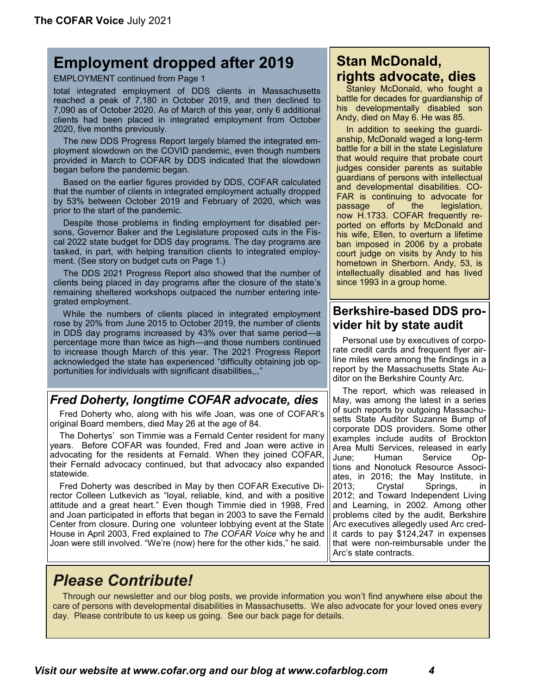# **Employment dropped after 2019**

EMPLOYMENT continued from Page 1

total integrated employment of DDS clients in Massachusetts reached a peak of 7,180 in October 2019, and then declined to 7,090 as of October 2020. As of March of this year, only 6 additional clients had been placed in integrated employment from October 2020, five months previously.

 The new DDS Progress Report largely blamed the integrated employment slowdown on the COVID pandemic, even though numbers provided in March to COFAR by DDS indicated that the slowdown began before the pandemic began.

 Based on [the earlier figures provided by DDS,](https://cofarblog.com/2021/03/25/dds-numbers-show-pre-covid-drop-in-mainstream-employment-of-dds-clients/) COFAR calculated that the number of clients in integrated employment actually dropped by 53% between October 2019 and February of 2020, which was prior to the start of the pandemic.

 Despite those problems in finding employment for disabled persons, Governor Baker and the Legislature proposed [cuts in the Fis](https://cofarblog.com/2021/05/05/state-house-approves-cuts-to-dds-day-program-funding-increases-for-provider-group-homes/)[cal 2022 state budget](https://cofarblog.com/2021/05/05/state-house-approves-cuts-to-dds-day-program-funding-increases-for-provider-group-homes/) for DDS day programs. The day programs are tasked, in part, with helping transition clients to integrated employment. (See story on budget cuts on Page 1.)

 The DDS 2021 Progress Report also showed that the number of clients being placed in day programs after the closure of the state's remaining sheltered workshops outpaced the number entering integrated employment.

 While the numbers of clients placed in integrated employment rose by 20% from June 2015 to October 2019, the number of clients in DDS day programs increased by 43% over that same period—a percentage more than twice as high—and those numbers continued to increase though March of this year. The 2021 Progress Report acknowledged the state has experienced "difficulty obtaining job opportunities for individuals with significant disabilities,,,"

### *Fred Doherty, longtime COFAR advocate, dies*

 Fred Doherty who, along with his wife Joan, was one of COFAR's original Board members, died May 26 at the age of 84.

 The Dohertys' son Timmie was a Fernald Center resident for many years. Before COFAR was founded, Fred and Joan were active in advocating for the residents at Fernald. When they joined COFAR, their Fernald advocacy continued, but that advocacy also expanded statewide.

 Fred Doherty was described in May by then COFAR Executive Director Colleen Lutkevich as "loyal, reliable, kind, and with a positive attitude and a great heart." Even though Timmie died in 1998, Fred and Joan participated in efforts that began in 2003 to save the Fernald Center from closure. During one volunteer lobbying event at the State House in April 2003, Fred explained to *The COFAR Voice* why he and Joan were still involved. "We're (now) here for the other kids," he said.

## **Stan McDonald, rights advocate, dies**

 Stanley McDonald, who fought a battle for decades for guardianship of his developmentally disabled son Andy, died on May 6. He was 85.

 In addition to seeking the guardianship, McDonald waged a long-term battle for a bill in the state Legislature that would require that probate court judges consider parents as suitable guardians of persons with intellectual and developmental disabilities. CO-FAR is continuing to advocate for passage of the legislation, now [H.1733.](https://malegislature.gov/Bills/192/H1733) COFAR frequently reported on efforts by McDonald and his wife, Ellen, to overturn a lifetime ban imposed in 2006 by a probate court judge on visits by Andy to his hometown in Sherborn. Andy, 53, is intellectually disabled and has lived since 1993 in a group home.

### **Berkshire-based DDS provider hit by state audit**

 Personal use by executives of corporate credit cards and frequent flyer airline miles were among the findings in a report by the Massachusetts State Auditor on the Berkshire County Arc.

 The report, which was released in May, was among the latest in a series of such reports by outgoing Massachusetts State Auditor Suzanne Bump of corporate DDS providers. Some other examples include audits of [Brockton](https://www.mass.gov/audit/audit-of-brockton-area-multi-services-inc-bamsi)  [Area Multi Services,](https://www.mass.gov/audit/audit-of-brockton-area-multi-services-inc-bamsi) released in early June; [Human Service Op](https://www.mass.gov/doc/human-service-options-inc/download)[tions](https://www.mass.gov/doc/human-service-options-inc/download) and [Nonotuck Resource Associ](https://www.mass.gov/doc/nonotuck-resource-associates-inc/download)[ates,](https://www.mass.gov/doc/nonotuck-resource-associates-inc/download) in 2016; [the May Institute, in](https://www.mass.gov/news/audit-may-institute-overcharged-state-for-executive-compensation)  [2013;](https://www.mass.gov/news/audit-may-institute-overcharged-state-for-executive-compensation) [Crystal Springs, in](https://www.tauntongazette.com/article/20121122/News/311229625)  [2012;](https://www.tauntongazette.com/article/20121122/News/311229625) and [Toward Independent Living](https://www.mass.gov/doc/toward-independent-living-and-learning-inc/download)  [and Learning, in 2002.](https://www.mass.gov/doc/toward-independent-living-and-learning-inc/download) Among other problems cited by the audit, Berkshire Arc executives allegedly used Arc credit cards to pay \$124,247 in expenses that were non-reimbursable under the Arc's state contracts.

# *Please Contribute!*

 Through our newsletter and our blog posts, we provide information you won't find anywhere else about the care of persons with developmental disabilities in Massachusetts. We also advocate for your loved ones every day. Please contribute to us keep us going. See our back page for details.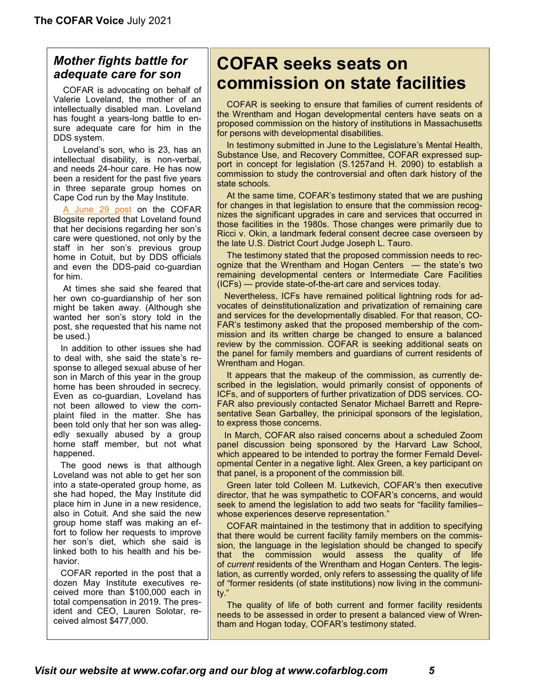### *Mother fights battle for adequate care for son*

COFAR is advocating on behalf of Valerie Loveland, the mother of an intellectually disabled man. Loveland has fought a years-long battle to ensure adequate care for him in the DDS system.

 Loveland's son, who is 23, has an intellectual disability, is non-verbal, and needs 24-hour care. He has now been a resident for the past five years in three separate group homes on Cape Cod run by the May Institute.

 [A June 29 post](https://cofarblog.com/2021/06/29/a-mothers-lonely-battle-for-appropriate-care-for-her-son/) on the COFAR Blogsite reported that Loveland found that her decisions regarding her son's care were questioned, not only by the staff in her son's previous group home in Cotuit, but by DDS officials and even the DDS-paid co-guardian for him.

 At times she said she feared that her own co-guardianship of her son might be taken away. (Although she wanted her son's story told in the post, she requested that his name not be used.)

 In addition to other issues she had to deal with, she said the state's response to alleged sexual abuse of her son in March of this year in the group home has been shrouded in secrecy. Even as co-guardian, Loveland has not been allowed to view the complaint filed in the matter. She has been told only that her son was allegedly sexually abused by a group home staff member, but not what happened.

 The good news is that although Loveland was not able to get her son into a state-operated group home, as she had hoped, the May Institute did place him in June in a new residence, also in Cotuit. And she said the new group home staff was making an effort to follow her requests to improve her son's diet, which she said is linked both to his health and his behavior.

 COFAR reported in the post that a dozen May Institute executives received more than \$100,000 each in total compensation in 2019. The president and CEO, Lauren Solotar, received almost \$477,000.

# **COFAR seeks seats on commission on state facilities**

 COFAR is seeking to ensure that families of current residents of the Wrentham and Hogan developmental centers have seats on a proposed commission on the history of institutions in Massachusetts for persons with developmental disabilities.

 In testimony submitted in June to the Legislature's Mental Health, Substance Use, and Recovery Committee, COFAR expressed support in concept for legislation ([S.1257a](https://malegislature.gov/Bills/192/S1257)nd [H. 2090\)](https://malegislature.gov/Bills/192/H2090) to establish a commission to study the controversial and often dark history of the state schools.

 At the same time, COFAR's testimony stated that we are pushing for changes in that legislation to ensure that the commission recognizes the significant upgrades in care and services that occurred in those facilities in the 1980s. Those changes were primarily due to Ricci v. Okin, a landmark federal consent decree case [overseen by](https://cofarblog.com/2018/12/03/judge-joseph-l-tauro-a-giant-in-the-treatment-of-the-developmentally-disabled-dies-at-87/)  [the late U.S. District Court Judge Joseph L. Tauro.](https://cofarblog.com/2018/12/03/judge-joseph-l-tauro-a-giant-in-the-treatment-of-the-developmentally-disabled-dies-at-87/)

 The testimony stated that the proposed commission needs to recognize that the Wrentham and Hogan Centers — the state's two remaining developmental centers or Intermediate Care Facilities (ICFs) — provide state-of-the-art care and services today.

 Nevertheless, ICFs [have remained political lightning rods](https://cofarblog.com/2021/03/03/fernald-may-be-closed-but-its-still-being-blamed-for-the-ills-of-the-dds-system/) for advocates of deinstitutionalization and privatization of remaining care and services for the developmentally disabled. For that reason, CO-FAR's testimony asked that the proposed membership of the commission and its written charge be changed to ensure a balanced review by the commission. COFAR is seeking additional seats on the panel for family members and guardians of current residents of Wrentham and Hogan.

 It appears that the makeup of the commission, as currently described in the legislation, would primarily consist of opponents of ICFs, and of supporters of further privatization of DDS services. CO-FAR also previously contacted Senator Michael Barrett and Representative Sean Garballey, the prinicipal sponsors of the legislation, to express those concerns.

 In March, COFAR also raised concerns about a [scheduled Zoom](https://hpod.law.harvard.edu/events/event/fernalds-legacy)  [panel discussion](https://hpod.law.harvard.edu/events/event/fernalds-legacy) being sponsored by the Harvard Law School, which appeared to be intended to portray the former Fernald Developmental Center in a negative light. Alex Green, a key participant on that panel, is a proponent of the commission bill.

 Green later told Colleen M. Lutkevich, COFAR's then executive director, that he was sympathetic to COFAR's concerns, and would seek to amend the legislation to add two seats for "facility families– whose experiences deserve representation."

 COFAR maintained in the testimony that in addition to specifying that there would be current facility family members on the commission, the language in the legislation should be changed to specify that the commission would assess the quality of life of *current* residents of the Wrentham and Hogan Centers. The legislation, as currently worded, only refers to assessing the quality of life of "former residents (of state institutions) now living in the community."

 The quality of life of both current and former facility residents needs to be assessed in order to present a balanced view of Wrentham and Hogan today, COFAR's testimony stated.